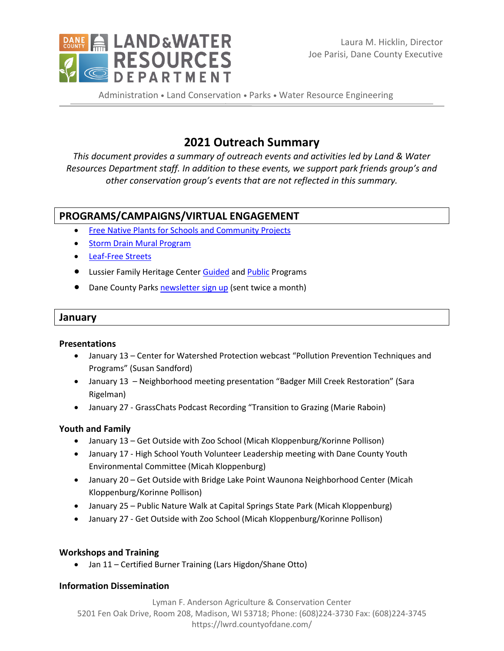

Administration . Land Conservation . Parks . Water Resource Engineering

# **2021 Outreach Summary**

*This document provides a summary of outreach events and activities led by Land & Water Resources Department staff. In addition to these events, we support park friends group's and other conservation group's events that are not reflected in this summary.*

# **PROGRAMS/CAMPAIGNS/VIRTUAL ENGAGEMENT**

- [Free Native Plants for Schools and Community Projects](https://lwrd.countyofdane.com/Native-Plants-for-Schools-and-Community-Projects)
- Storm [Drain Mural Program](https://ripple-effects.com/Storm-Drain-Murals)
- [Leaf-Free Streets](https://www.ripple-effects.com/Leaf-free-Streets)
- **.** Lussier Family Heritage Center [Guided](https://lussierheritagecenter.com/guided-programs) an[d Public](https://lussierheritagecenter.com/public-programs) Programs
- Dane County Park[s newsletter sign up](https://lwrd.countyofdane.com/Newsletters) (sent twice a month)

#### **January**

#### **Presentations**

- January 13 Center for Watershed Protection webcast "Pollution Prevention Techniques and Programs" (Susan Sandford)
- January 13 Neighborhood meeting presentation "Badger Mill Creek Restoration" (Sara Rigelman)
- January 27 GrassChats Podcast Recording "Transition to Grazing (Marie Raboin)

### **Youth and Family**

- January 13 Get Outside with Zoo School (Micah Kloppenburg/Korinne Pollison)
- January 17 High School Youth Volunteer Leadership meeting with Dane County Youth Environmental Committee (Micah Kloppenburg)
- January 20 Get Outside with Bridge Lake Point Waunona Neighborhood Center (Micah Kloppenburg/Korinne Pollison)
- January 25 Public Nature Walk at Capital Springs State Park (Micah Kloppenburg)
- January 27 Get Outside with Zoo School (Micah Kloppenburg/Korinne Pollison)

### **Workshops and Training**

Jan 11 – Certified Burner Training (Lars Higdon/Shane Otto)

### **Information Dissemination**

Lyman F. Anderson Agriculture & Conservation Center 5201 Fen Oak Drive, Room 208, Madison, WI 53718; Phone: (608)224-3730 Fax: (608)224-3745 https://lwrd.countyofdane.com/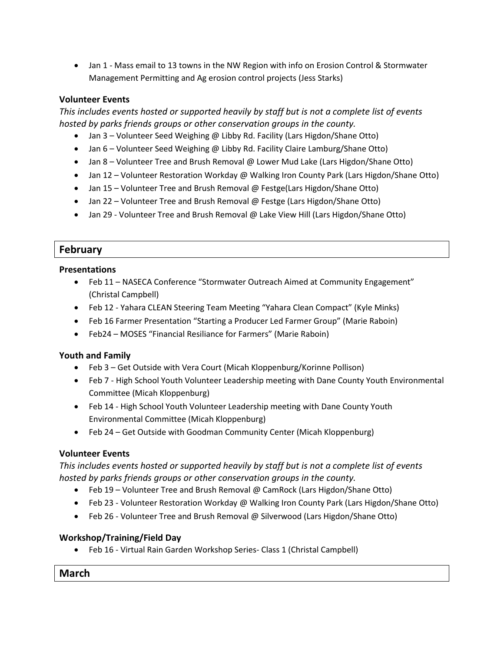• Jan 1 - Mass email to 13 towns in the NW Region with info on Erosion Control & Stormwater Management Permitting and Ag erosion control projects (Jess Starks)

### **Volunteer Events**

*This includes events hosted or supported heavily by staff but is not a complete list of events hosted by parks friends groups or other conservation groups in the county.*

- Jan 3 Volunteer Seed Weighing @ Libby Rd. Facility (Lars Higdon/Shane Otto)
- Jan 6 Volunteer Seed Weighing @ Libby Rd. Facility Claire Lamburg/Shane Otto)
- Jan 8 Volunteer Tree and Brush Removal @ Lower Mud Lake (Lars Higdon/Shane Otto)
- Jan 12 Volunteer Restoration Workday @ Walking Iron County Park (Lars Higdon/Shane Otto)
- Jan 15 Volunteer Tree and Brush Removal @ Festge(Lars Higdon/Shane Otto)
- Jan 22 Volunteer Tree and Brush Removal @ Festge (Lars Higdon/Shane Otto)
- Jan 29 Volunteer Tree and Brush Removal @ Lake View Hill (Lars Higdon/Shane Otto)

# **February**

### **Presentations**

- Feb 11 NASECA Conference "Stormwater Outreach Aimed at Community Engagement" (Christal Campbell)
- Feb 12 Yahara CLEAN Steering Team Meeting "Yahara Clean Compact" (Kyle Minks)
- Feb 16 Farmer Presentation "Starting a Producer Led Farmer Group" (Marie Raboin)
- Feb24 MOSES "Financial Resiliance for Farmers" (Marie Raboin)

### **Youth and Family**

- Feb 3 Get Outside with Vera Court (Micah Kloppenburg/Korinne Pollison)
- Feb 7 High School Youth Volunteer Leadership meeting with Dane County Youth Environmental Committee (Micah Kloppenburg)
- Feb 14 High School Youth Volunteer Leadership meeting with Dane County Youth Environmental Committee (Micah Kloppenburg)
- Feb 24 Get Outside with Goodman Community Center (Micah Kloppenburg)

### **Volunteer Events**

*This includes events hosted or supported heavily by staff but is not a complete list of events hosted by parks friends groups or other conservation groups in the county.*

- Feb 19 Volunteer Tree and Brush Removal @ CamRock (Lars Higdon/Shane Otto)
- Feb 23 Volunteer Restoration Workday @ Walking Iron County Park (Lars Higdon/Shane Otto)
- Feb 26 Volunteer Tree and Brush Removal @ Silverwood (Lars Higdon/Shane Otto)

# **Workshop/Training/Field Day**

Feb 16 - Virtual Rain Garden Workshop Series- Class 1 (Christal Campbell)

### **March**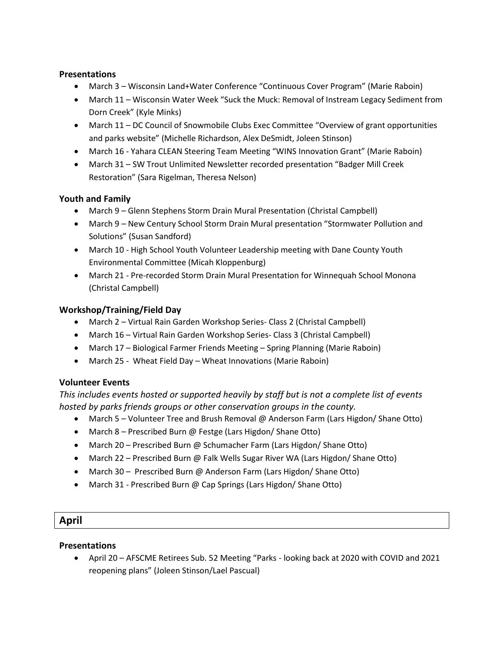### **Presentations**

- March 3 Wisconsin Land+Water Conference "Continuous Cover Program" (Marie Raboin)
- March 11 Wisconsin Water Week "Suck the Muck: Removal of Instream Legacy Sediment from Dorn Creek" (Kyle Minks)
- March 11 DC Council of Snowmobile Clubs Exec Committee "Overview of grant opportunities and parks website" (Michelle Richardson, Alex DeSmidt, Joleen Stinson)
- March 16 Yahara CLEAN Steering Team Meeting "WINS Innovation Grant" (Marie Raboin)
- March 31 SW Trout Unlimited Newsletter recorded presentation "Badger Mill Creek Restoration" (Sara Rigelman, Theresa Nelson)

### **Youth and Family**

- March 9 Glenn Stephens Storm Drain Mural Presentation (Christal Campbell)
- March 9 New Century School Storm Drain Mural presentation "Stormwater Pollution and Solutions" (Susan Sandford)
- March 10 High School Youth Volunteer Leadership meeting with Dane County Youth Environmental Committee (Micah Kloppenburg)
- March 21 Pre-recorded Storm Drain Mural Presentation for Winnequah School Monona (Christal Campbell)

### **Workshop/Training/Field Day**

- March 2 Virtual Rain Garden Workshop Series- Class 2 (Christal Campbell)
- March 16 Virtual Rain Garden Workshop Series- Class 3 (Christal Campbell)
- March 17 Biological Farmer Friends Meeting Spring Planning (Marie Raboin)
- March 25 Wheat Field Day Wheat Innovations (Marie Raboin)

### **Volunteer Events**

*This includes events hosted or supported heavily by staff but is not a complete list of events hosted by parks friends groups or other conservation groups in the county.*

- March 5 Volunteer Tree and Brush Removal @ Anderson Farm (Lars Higdon/ Shane Otto)
- March 8 Prescribed Burn @ Festge (Lars Higdon/ Shane Otto)
- March 20 Prescribed Burn @ Schumacher Farm (Lars Higdon/ Shane Otto)
- March 22 Prescribed Burn @ Falk Wells Sugar River WA (Lars Higdon/ Shane Otto)
- March 30 Prescribed Burn @ Anderson Farm (Lars Higdon/ Shane Otto)
- March 31 Prescribed Burn @ Cap Springs (Lars Higdon/ Shane Otto)

### **April**

### **Presentations**

 April 20 – AFSCME Retirees Sub. 52 Meeting "Parks - looking back at 2020 with COVID and 2021 reopening plans" (Joleen Stinson/Lael Pascual)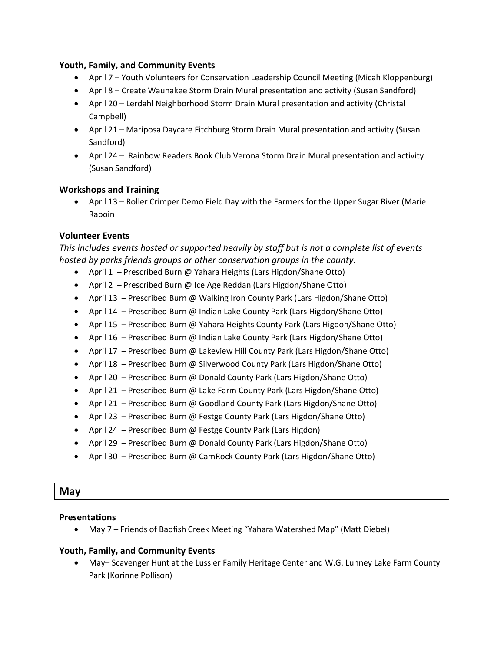#### **Youth, Family, and Community Events**

- April 7 Youth Volunteers for Conservation Leadership Council Meeting (Micah Kloppenburg)
- April 8 Create Waunakee Storm Drain Mural presentation and activity (Susan Sandford)
- April 20 Lerdahl Neighborhood Storm Drain Mural presentation and activity (Christal Campbell)
- April 21 Mariposa Daycare Fitchburg Storm Drain Mural presentation and activity (Susan Sandford)
- April 24 Rainbow Readers Book Club Verona Storm Drain Mural presentation and activity (Susan Sandford)

### **Workshops and Training**

 April 13 – Roller Crimper Demo Field Day with the Farmers for the Upper Sugar River (Marie Raboin

#### **Volunteer Events**

*This includes events hosted or supported heavily by staff but is not a complete list of events hosted by parks friends groups or other conservation groups in the county.*

- April 1 Prescribed Burn @ Yahara Heights (Lars Higdon/Shane Otto)
- April 2 Prescribed Burn @ Ice Age Reddan (Lars Higdon/Shane Otto)
- April 13 Prescribed Burn @ Walking Iron County Park (Lars Higdon/Shane Otto)
- April 14 Prescribed Burn @ Indian Lake County Park (Lars Higdon/Shane Otto)
- April 15 Prescribed Burn @ Yahara Heights County Park (Lars Higdon/Shane Otto)
- April 16 Prescribed Burn @ Indian Lake County Park (Lars Higdon/Shane Otto)
- April 17 Prescribed Burn @ Lakeview Hill County Park (Lars Higdon/Shane Otto)
- April 18 Prescribed Burn @ Silverwood County Park (Lars Higdon/Shane Otto)
- April 20 Prescribed Burn @ Donald County Park (Lars Higdon/Shane Otto)
- April 21 Prescribed Burn @ Lake Farm County Park (Lars Higdon/Shane Otto)
- April 21 Prescribed Burn @ Goodland County Park (Lars Higdon/Shane Otto)
- April 23 Prescribed Burn @ Festge County Park (Lars Higdon/Shane Otto)
- April 24 Prescribed Burn @ Festge County Park (Lars Higdon)
- April 29 Prescribed Burn @ Donald County Park (Lars Higdon/Shane Otto)
- April 30 Prescribed Burn @ CamRock County Park (Lars Higdon/Shane Otto)

### **May**

#### **Presentations**

May 7 – Friends of Badfish Creek Meeting "Yahara Watershed Map" (Matt Diebel)

### **Youth, Family, and Community Events**

 May– Scavenger Hunt at the Lussier Family Heritage Center and W.G. Lunney Lake Farm County Park (Korinne Pollison)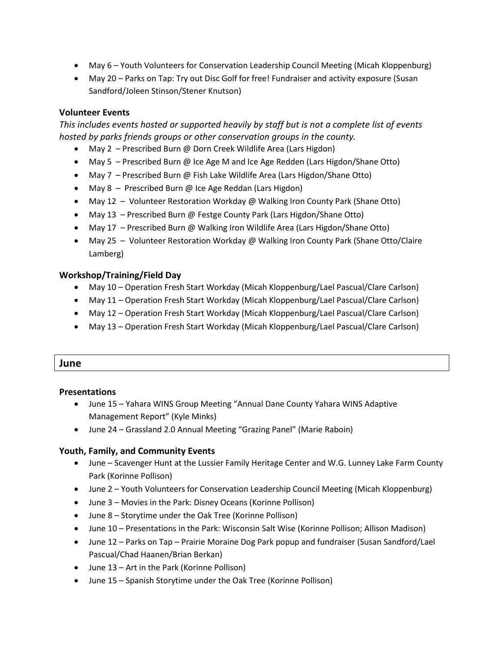- May 6 Youth Volunteers for Conservation Leadership Council Meeting (Micah Kloppenburg)
- May 20 Parks on Tap: Try out Disc Golf for free! Fundraiser and activity exposure (Susan Sandford/Joleen Stinson/Stener Knutson)

### **Volunteer Events**

*This includes events hosted or supported heavily by staff but is not a complete list of events hosted by parks friends groups or other conservation groups in the county.*

- May 2 Prescribed Burn @ Dorn Creek Wildlife Area (Lars Higdon)
- May 5 Prescribed Burn @ Ice Age M and Ice Age Redden (Lars Higdon/Shane Otto)
- May 7 Prescribed Burn @ Fish Lake Wildlife Area (Lars Higdon/Shane Otto)
- May 8 Prescribed Burn @ Ice Age Reddan (Lars Higdon)
- May 12 Volunteer Restoration Workday @ Walking Iron County Park (Shane Otto)
- May 13 Prescribed Burn @ Festge County Park (Lars Higdon/Shane Otto)
- May 17 Prescribed Burn @ Walking Iron Wildlife Area (Lars Higdon/Shane Otto)
- May 25 Volunteer Restoration Workday @ Walking Iron County Park (Shane Otto/Claire Lamberg)

### **Workshop/Training/Field Day**

- May 10 Operation Fresh Start Workday (Micah Kloppenburg/Lael Pascual/Clare Carlson)
- May 11 Operation Fresh Start Workday (Micah Kloppenburg/Lael Pascual/Clare Carlson)
- May 12 Operation Fresh Start Workday (Micah Kloppenburg/Lael Pascual/Clare Carlson)
- May 13 Operation Fresh Start Workday (Micah Kloppenburg/Lael Pascual/Clare Carlson)

### **June**

#### **Presentations**

- June 15 Yahara WINS Group Meeting "Annual Dane County Yahara WINS Adaptive Management Report" (Kyle Minks)
- June 24 Grassland 2.0 Annual Meeting "Grazing Panel" (Marie Raboin)

- June Scavenger Hunt at the Lussier Family Heritage Center and W.G. Lunney Lake Farm County Park (Korinne Pollison)
- June 2 Youth Volunteers for Conservation Leadership Council Meeting (Micah Kloppenburg)
- June 3 Movies in the Park: Disney Oceans (Korinne Pollison)
- June 8 Storytime under the Oak Tree (Korinne Pollison)
- June 10 Presentations in the Park: Wisconsin Salt Wise (Korinne Pollison; Allison Madison)
- June 12 Parks on Tap Prairie Moraine Dog Park popup and fundraiser (Susan Sandford/Lael Pascual/Chad Haanen/Brian Berkan)
- June 13 Art in the Park (Korinne Pollison)
- June 15 Spanish Storytime under the Oak Tree (Korinne Pollison)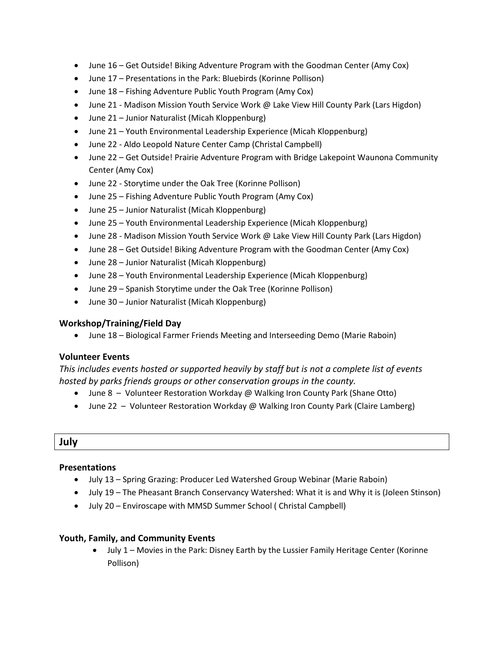- June 16 Get Outside! Biking Adventure Program with the Goodman Center (Amy Cox)
- June 17 Presentations in the Park: Bluebirds (Korinne Pollison)
- June 18 Fishing Adventure Public Youth Program (Amy Cox)
- June 21 Madison Mission Youth Service Work @ Lake View Hill County Park (Lars Higdon)
- June 21 Junior Naturalist (Micah Kloppenburg)
- June 21 Youth Environmental Leadership Experience (Micah Kloppenburg)
- June 22 Aldo Leopold Nature Center Camp (Christal Campbell)
- June 22 Get Outside! Prairie Adventure Program with Bridge Lakepoint Waunona Community Center (Amy Cox)
- June 22 Storytime under the Oak Tree (Korinne Pollison)
- June 25 Fishing Adventure Public Youth Program (Amy Cox)
- June 25 Junior Naturalist (Micah Kloppenburg)
- June 25 Youth Environmental Leadership Experience (Micah Kloppenburg)
- June 28 Madison Mission Youth Service Work @ Lake View Hill County Park (Lars Higdon)
- June 28 Get Outside! Biking Adventure Program with the Goodman Center (Amy Cox)
- June 28 Junior Naturalist (Micah Kloppenburg)
- June 28 Youth Environmental Leadership Experience (Micah Kloppenburg)
- June 29 Spanish Storytime under the Oak Tree (Korinne Pollison)
- June 30 Junior Naturalist (Micah Kloppenburg)

June 18 – Biological Farmer Friends Meeting and Interseeding Demo (Marie Raboin)

### **Volunteer Events**

*This includes events hosted or supported heavily by staff but is not a complete list of events hosted by parks friends groups or other conservation groups in the county.*

- June 8 Volunteer Restoration Workday @ Walking Iron County Park (Shane Otto)
- June 22 Volunteer Restoration Workday @ Walking Iron County Park (Claire Lamberg)

### **July**

### **Presentations**

- July 13 Spring Grazing: Producer Led Watershed Group Webinar (Marie Raboin)
- July 19 The Pheasant Branch Conservancy Watershed: What it is and Why it is (Joleen Stinson)
- July 20 Enviroscape with MMSD Summer School ( Christal Campbell)

### **Youth, Family, and Community Events**

 July 1 – Movies in the Park: Disney Earth by the Lussier Family Heritage Center (Korinne Pollison)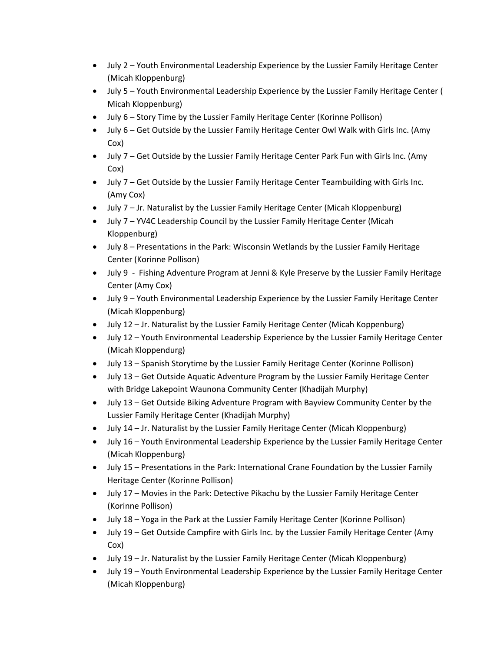- July 2 Youth Environmental Leadership Experience by the Lussier Family Heritage Center (Micah Kloppenburg)
- July 5 Youth Environmental Leadership Experience by the Lussier Family Heritage Center ( Micah Kloppenburg)
- July 6 Story Time by the Lussier Family Heritage Center (Korinne Pollison)
- July 6 Get Outside by the Lussier Family Heritage Center Owl Walk with Girls Inc. (Amy Cox)
- July 7 Get Outside by the Lussier Family Heritage Center Park Fun with Girls Inc. (Amy Cox)
- July 7 Get Outside by the Lussier Family Heritage Center Teambuilding with Girls Inc. (Amy Cox)
- July 7 Jr. Naturalist by the Lussier Family Heritage Center (Micah Kloppenburg)
- July 7 YV4C Leadership Council by the Lussier Family Heritage Center (Micah Kloppenburg)
- July 8 Presentations in the Park: Wisconsin Wetlands by the Lussier Family Heritage Center (Korinne Pollison)
- July 9 Fishing Adventure Program at Jenni & Kyle Preserve by the Lussier Family Heritage Center (Amy Cox)
- July 9 Youth Environmental Leadership Experience by the Lussier Family Heritage Center (Micah Kloppenburg)
- July 12 Jr. Naturalist by the Lussier Family Heritage Center (Micah Koppenburg)
- July 12 Youth Environmental Leadership Experience by the Lussier Family Heritage Center (Micah Kloppendurg)
- July 13 Spanish Storytime by the Lussier Family Heritage Center (Korinne Pollison)
- July 13 Get Outside Aquatic Adventure Program by the Lussier Family Heritage Center with Bridge Lakepoint Waunona Community Center (Khadijah Murphy)
- July 13 Get Outside Biking Adventure Program with Bayview Community Center by the Lussier Family Heritage Center (Khadijah Murphy)
- July 14 Jr. Naturalist by the Lussier Family Heritage Center (Micah Kloppenburg)
- July 16 Youth Environmental Leadership Experience by the Lussier Family Heritage Center (Micah Kloppenburg)
- July 15 Presentations in the Park: International Crane Foundation by the Lussier Family Heritage Center (Korinne Pollison)
- July 17 Movies in the Park: Detective Pikachu by the Lussier Family Heritage Center (Korinne Pollison)
- July 18 Yoga in the Park at the Lussier Family Heritage Center (Korinne Pollison)
- July 19 Get Outside Campfire with Girls Inc. by the Lussier Family Heritage Center (Amy Cox)
- July 19 Jr. Naturalist by the Lussier Family Heritage Center (Micah Kloppenburg)
- July 19 Youth Environmental Leadership Experience by the Lussier Family Heritage Center (Micah Kloppenburg)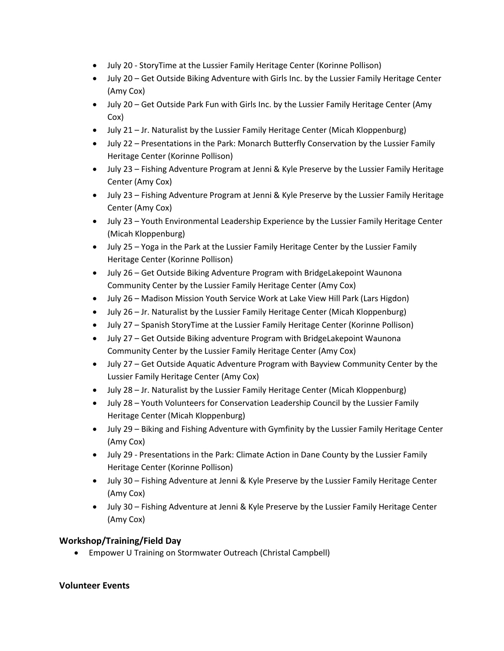- July 20 StoryTime at the Lussier Family Heritage Center (Korinne Pollison)
- July 20 Get Outside Biking Adventure with Girls Inc. by the Lussier Family Heritage Center (Amy Cox)
- July 20 Get Outside Park Fun with Girls Inc. by the Lussier Family Heritage Center (Amy Cox)
- July 21 Jr. Naturalist by the Lussier Family Heritage Center (Micah Kloppenburg)
- July 22 Presentations in the Park: Monarch Butterfly Conservation by the Lussier Family Heritage Center (Korinne Pollison)
- July 23 Fishing Adventure Program at Jenni & Kyle Preserve by the Lussier Family Heritage Center (Amy Cox)
- July 23 Fishing Adventure Program at Jenni & Kyle Preserve by the Lussier Family Heritage Center (Amy Cox)
- July 23 Youth Environmental Leadership Experience by the Lussier Family Heritage Center (Micah Kloppenburg)
- July 25 Yoga in the Park at the Lussier Family Heritage Center by the Lussier Family Heritage Center (Korinne Pollison)
- July 26 Get Outside Biking Adventure Program with BridgeLakepoint Waunona Community Center by the Lussier Family Heritage Center (Amy Cox)
- July 26 Madison Mission Youth Service Work at Lake View Hill Park (Lars Higdon)
- July 26 Jr. Naturalist by the Lussier Family Heritage Center (Micah Kloppenburg)
- July 27 Spanish StoryTime at the Lussier Family Heritage Center (Korinne Pollison)
- July 27 Get Outside Biking adventure Program with BridgeLakepoint Waunona Community Center by the Lussier Family Heritage Center (Amy Cox)
- July 27 Get Outside Aquatic Adventure Program with Bayview Community Center by the Lussier Family Heritage Center (Amy Cox)
- July 28 Jr. Naturalist by the Lussier Family Heritage Center (Micah Kloppenburg)
- July 28 Youth Volunteers for Conservation Leadership Council by the Lussier Family Heritage Center (Micah Kloppenburg)
- July 29 Biking and Fishing Adventure with Gymfinity by the Lussier Family Heritage Center (Amy Cox)
- July 29 Presentations in the Park: Climate Action in Dane County by the Lussier Family Heritage Center (Korinne Pollison)
- July 30 Fishing Adventure at Jenni & Kyle Preserve by the Lussier Family Heritage Center (Amy Cox)
- July 30 Fishing Adventure at Jenni & Kyle Preserve by the Lussier Family Heritage Center (Amy Cox)

Empower U Training on Stormwater Outreach (Christal Campbell)

# **Volunteer Events**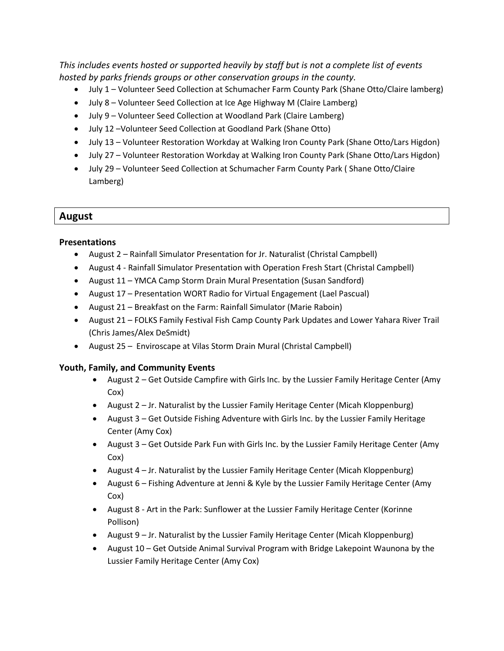*This includes events hosted or supported heavily by staff but is not a complete list of events hosted by parks friends groups or other conservation groups in the county.*

- July 1 Volunteer Seed Collection at Schumacher Farm County Park (Shane Otto/Claire lamberg)
- July 8 Volunteer Seed Collection at Ice Age Highway M (Claire Lamberg)
- July 9 Volunteer Seed Collection at Woodland Park (Claire Lamberg)
- July 12 –Volunteer Seed Collection at Goodland Park (Shane Otto)
- July 13 Volunteer Restoration Workday at Walking Iron County Park (Shane Otto/Lars Higdon)
- July 27 Volunteer Restoration Workday at Walking Iron County Park (Shane Otto/Lars Higdon)
- July 29 Volunteer Seed Collection at Schumacher Farm County Park ( Shane Otto/Claire Lamberg)

# **August**

#### **Presentations**

- August 2 Rainfall Simulator Presentation for Jr. Naturalist (Christal Campbell)
- August 4 Rainfall Simulator Presentation with Operation Fresh Start (Christal Campbell)
- August 11 YMCA Camp Storm Drain Mural Presentation (Susan Sandford)
- August 17 Presentation WORT Radio for Virtual Engagement (Lael Pascual)
- August 21 Breakfast on the Farm: Rainfall Simulator (Marie Raboin)
- August 21 FOLKS Family Festival Fish Camp County Park Updates and Lower Yahara River Trail (Chris James/Alex DeSmidt)
- August 25 Enviroscape at Vilas Storm Drain Mural (Christal Campbell)

- August 2 Get Outside Campfire with Girls Inc. by the Lussier Family Heritage Center (Amy Cox)
- August 2 Jr. Naturalist by the Lussier Family Heritage Center (Micah Kloppenburg)
- August 3 Get Outside Fishing Adventure with Girls Inc. by the Lussier Family Heritage Center (Amy Cox)
- August 3 Get Outside Park Fun with Girls Inc. by the Lussier Family Heritage Center (Amy Cox)
- August 4 Jr. Naturalist by the Lussier Family Heritage Center (Micah Kloppenburg)
- August 6 Fishing Adventure at Jenni & Kyle by the Lussier Family Heritage Center (Amy Cox)
- August 8 Art in the Park: Sunflower at the Lussier Family Heritage Center (Korinne Pollison)
- August 9 Jr. Naturalist by the Lussier Family Heritage Center (Micah Kloppenburg)
- August 10 Get Outside Animal Survival Program with Bridge Lakepoint Waunona by the Lussier Family Heritage Center (Amy Cox)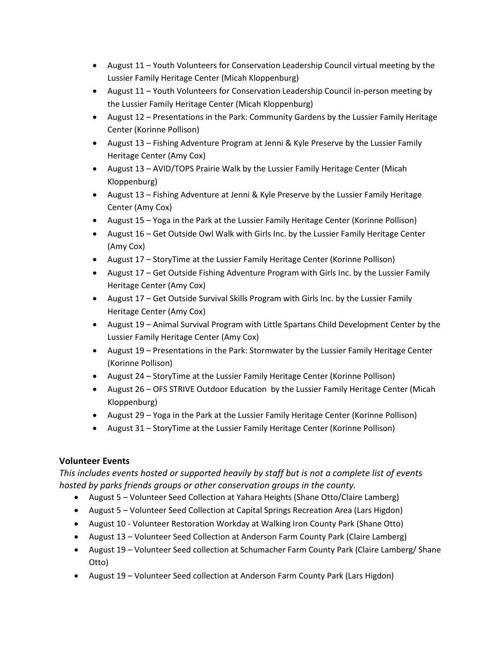- August 11 Youth Volunteers for Conservation Leadership Council virtual meeting by the Lussier Family Heritage Center (Micah Kloppenburg)
- August 11 Youth Volunteers for Conservation Leadership Council in-person meeting by the Lussier Family Heritage Center (Micah Kloppenburg)
- August 12 Presentations in the Park: Community Gardens by the Lussier Family Heritage Center (Korinne Pollison)
- August 13 Fishing Adventure Program at Jenni & Kyle Preserve by the Lussier Family Heritage Center (Amy Cox)
- August 13 AVID/TOPS Prairie Walk by the Lussier Family Heritage Center (Micah Kloppenburg)
- August 13 Fishing Adventure at Jenni & Kyle Preserve by the Lussier Family Heritage Center (Amy Cox)
- August 15 Yoga in the Park at the Lussier Family Heritage Center (Korinne Pollison)
- August 16 Get Outside Owl Walk with Girls Inc. by the Lussier Family Heritage Center (Amy Cox)
- August 17 StoryTime at the Lussier Family Heritage Center (Korinne Pollison)
- August 17 Get Outside Fishing Adventure Program with Girls Inc. by the Lussier Family Heritage Center (Amy Cox)
- August 17 Get Outside Survival Skills Program with Girls Inc. by the Lussier Family Heritage Center (Amy Cox)
- August 19 Animal Survival Program with Little Spartans Child Development Center by the Lussier Family Heritage Center (Amy Cox)
- August 19 Presentations in the Park: Stormwater by the Lussier Family Heritage Center (Korinne Pollison)
- August 24 StoryTime at the Lussier Family Heritage Center (Korinne Pollison)
- August 26 OFS STRIVE Outdoor Education by the Lussier Family Heritage Center (Micah Kloppenburg)
- August 29 Yoga in the Park at the Lussier Family Heritage Center (Korinne Pollison)
- August 31 StoryTime at the Lussier Family Heritage Center (Korinne Pollison)

# **Volunteer Events**

*This includes events hosted or supported heavily by staff but is not a complete list of events hosted by parks friends groups or other conservation groups in the county.*

- August 5 Volunteer Seed Collection at Yahara Heights (Shane Otto/Claire Lamberg)
- August 5 Volunteer Seed Collection at Capital Springs Recreation Area (Lars Higdon)
- August 10 Volunteer Restoration Workday at Walking Iron County Park (Shane Otto)
- August 13 Volunteer Seed Collection at Anderson Farm County Park (Claire Lamberg)
- August 19 Volunteer Seed collection at Schumacher Farm County Park (Claire Lamberg/ Shane Otto)
- August 19 Volunteer Seed collection at Anderson Farm County Park (Lars Higdon)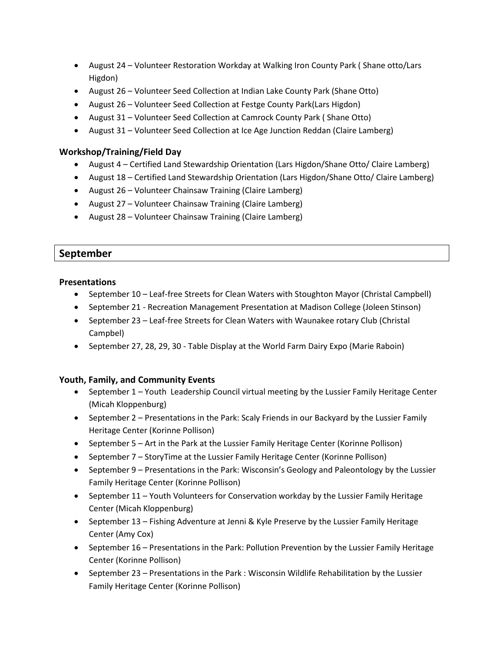- August 24 Volunteer Restoration Workday at Walking Iron County Park ( Shane otto/Lars Higdon)
- August 26 Volunteer Seed Collection at Indian Lake County Park (Shane Otto)
- August 26 Volunteer Seed Collection at Festge County Park(Lars Higdon)
- August 31 Volunteer Seed Collection at Camrock County Park ( Shane Otto)
- August 31 Volunteer Seed Collection at Ice Age Junction Reddan (Claire Lamberg)

- August 4 Certified Land Stewardship Orientation (Lars Higdon/Shane Otto/ Claire Lamberg)
- August 18 Certified Land Stewardship Orientation (Lars Higdon/Shane Otto/ Claire Lamberg)
- August 26 Volunteer Chainsaw Training (Claire Lamberg)
- August 27 Volunteer Chainsaw Training (Claire Lamberg)
- August 28 Volunteer Chainsaw Training (Claire Lamberg)

# **September**

### **Presentations**

- September 10 Leaf-free Streets for Clean Waters with Stoughton Mayor (Christal Campbell)
- September 21 Recreation Management Presentation at Madison College (Joleen Stinson)
- September 23 Leaf-free Streets for Clean Waters with Waunakee rotary Club (Christal Campbel)
- September 27, 28, 29, 30 Table Display at the World Farm Dairy Expo (Marie Raboin)

- September 1 Youth Leadership Council virtual meeting by the Lussier Family Heritage Center (Micah Kloppenburg)
- September 2 Presentations in the Park: Scaly Friends in our Backyard by the Lussier Family Heritage Center (Korinne Pollison)
- September 5 Art in the Park at the Lussier Family Heritage Center (Korinne Pollison)
- September 7 StoryTime at the Lussier Family Heritage Center (Korinne Pollison)
- September 9 Presentations in the Park: Wisconsin's Geology and Paleontology by the Lussier Family Heritage Center (Korinne Pollison)
- September 11 Youth Volunteers for Conservation workday by the Lussier Family Heritage Center (Micah Kloppenburg)
- September 13 Fishing Adventure at Jenni & Kyle Preserve by the Lussier Family Heritage Center (Amy Cox)
- September 16 Presentations in the Park: Pollution Prevention by the Lussier Family Heritage Center (Korinne Pollison)
- September 23 Presentations in the Park : Wisconsin Wildlife Rehabilitation by the Lussier Family Heritage Center (Korinne Pollison)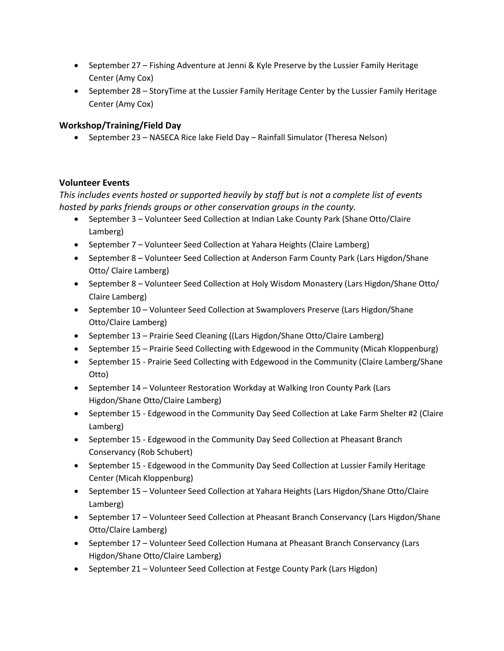- September 27 Fishing Adventure at Jenni & Kyle Preserve by the Lussier Family Heritage Center (Amy Cox)
- September 28 StoryTime at the Lussier Family Heritage Center by the Lussier Family Heritage Center (Amy Cox)

• September 23 – NASECA Rice lake Field Day – Rainfall Simulator (Theresa Nelson)

### **Volunteer Events**

*This includes events hosted or supported heavily by staff but is not a complete list of events hosted by parks friends groups or other conservation groups in the county.*

- September 3 Volunteer Seed Collection at Indian Lake County Park (Shane Otto/Claire Lamberg)
- September 7 Volunteer Seed Collection at Yahara Heights (Claire Lamberg)
- September 8 Volunteer Seed Collection at Anderson Farm County Park (Lars Higdon/Shane Otto/ Claire Lamberg)
- September 8 Volunteer Seed Collection at Holy Wisdom Monastery (Lars Higdon/Shane Otto/ Claire Lamberg)
- September 10 Volunteer Seed Collection at Swamplovers Preserve (Lars Higdon/Shane Otto/Claire Lamberg)
- September 13 Prairie Seed Cleaning ((Lars Higdon/Shane Otto/Claire Lamberg)
- September 15 Prairie Seed Collecting with Edgewood in the Community (Micah Kloppenburg)
- September 15 Prairie Seed Collecting with Edgewood in the Community (Claire Lamberg/Shane Otto)
- September 14 Volunteer Restoration Workday at Walking Iron County Park (Lars Higdon/Shane Otto/Claire Lamberg)
- September 15 Edgewood in the Community Day Seed Collection at Lake Farm Shelter #2 (Claire Lamberg)
- September 15 Edgewood in the Community Day Seed Collection at Pheasant Branch Conservancy (Rob Schubert)
- September 15 Edgewood in the Community Day Seed Collection at Lussier Family Heritage Center (Micah Kloppenburg)
- September 15 Volunteer Seed Collection at Yahara Heights (Lars Higdon/Shane Otto/Claire Lamberg)
- September 17 Volunteer Seed Collection at Pheasant Branch Conservancy (Lars Higdon/Shane Otto/Claire Lamberg)
- September 17 Volunteer Seed Collection Humana at Pheasant Branch Conservancy (Lars Higdon/Shane Otto/Claire Lamberg)
- September 21 Volunteer Seed Collection at Festge County Park (Lars Higdon)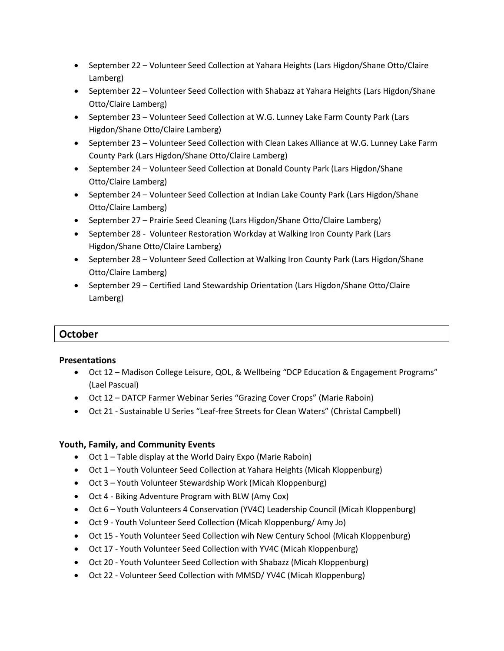- September 22 Volunteer Seed Collection at Yahara Heights (Lars Higdon/Shane Otto/Claire Lamberg)
- September 22 Volunteer Seed Collection with Shabazz at Yahara Heights (Lars Higdon/Shane Otto/Claire Lamberg)
- September 23 Volunteer Seed Collection at W.G. Lunney Lake Farm County Park (Lars Higdon/Shane Otto/Claire Lamberg)
- September 23 Volunteer Seed Collection with Clean Lakes Alliance at W.G. Lunney Lake Farm County Park (Lars Higdon/Shane Otto/Claire Lamberg)
- September 24 Volunteer Seed Collection at Donald County Park (Lars Higdon/Shane Otto/Claire Lamberg)
- September 24 Volunteer Seed Collection at Indian Lake County Park (Lars Higdon/Shane Otto/Claire Lamberg)
- September 27 Prairie Seed Cleaning (Lars Higdon/Shane Otto/Claire Lamberg)
- September 28 Volunteer Restoration Workday at Walking Iron County Park (Lars Higdon/Shane Otto/Claire Lamberg)
- September 28 Volunteer Seed Collection at Walking Iron County Park (Lars Higdon/Shane Otto/Claire Lamberg)
- September 29 Certified Land Stewardship Orientation (Lars Higdon/Shane Otto/Claire Lamberg)

# **October**

### **Presentations**

- Oct 12 Madison College Leisure, QOL, & Wellbeing "DCP Education & Engagement Programs" (Lael Pascual)
- Oct 12 DATCP Farmer Webinar Series "Grazing Cover Crops" (Marie Raboin)
- Oct 21 Sustainable U Series "Leaf-free Streets for Clean Waters" (Christal Campbell)

- Oct 1 Table display at the World Dairy Expo (Marie Raboin)
- Oct 1 Youth Volunteer Seed Collection at Yahara Heights (Micah Kloppenburg)
- Oct 3 Youth Volunteer Stewardship Work (Micah Kloppenburg)
- Oct 4 Biking Adventure Program with BLW (Amy Cox)
- Oct 6 Youth Volunteers 4 Conservation (YV4C) Leadership Council (Micah Kloppenburg)
- Oct 9 Youth Volunteer Seed Collection (Micah Kloppenburg/ Amy Jo)
- Oct 15 Youth Volunteer Seed Collection wih New Century School (Micah Kloppenburg)
- Oct 17 Youth Volunteer Seed Collection with YV4C (Micah Kloppenburg)
- Oct 20 Youth Volunteer Seed Collection with Shabazz (Micah Kloppenburg)
- Oct 22 Volunteer Seed Collection with MMSD/ YV4C (Micah Kloppenburg)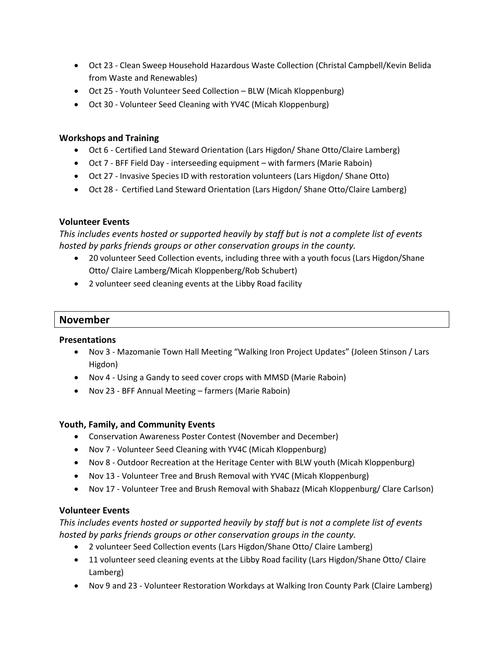- Oct 23 Clean Sweep Household Hazardous Waste Collection (Christal Campbell/Kevin Belida from Waste and Renewables)
- Oct 25 Youth Volunteer Seed Collection BLW (Micah Kloppenburg)
- Oct 30 Volunteer Seed Cleaning with YV4C (Micah Kloppenburg)

### **Workshops and Training**

- Oct 6 Certified Land Steward Orientation (Lars Higdon/ Shane Otto/Claire Lamberg)
- Oct 7 BFF Field Day interseeding equipment with farmers (Marie Raboin)
- Oct 27 Invasive Species ID with restoration volunteers (Lars Higdon/ Shane Otto)
- Oct 28 Certified Land Steward Orientation (Lars Higdon/ Shane Otto/Claire Lamberg)

### **Volunteer Events**

*This includes events hosted or supported heavily by staff but is not a complete list of events hosted by parks friends groups or other conservation groups in the county.*

- 20 volunteer Seed Collection events, including three with a youth focus (Lars Higdon/Shane Otto/ Claire Lamberg/Micah Kloppenberg/Rob Schubert)
- 2 volunteer seed cleaning events at the Libby Road facility

# **November**

#### **Presentations**

- Nov 3 Mazomanie Town Hall Meeting "Walking Iron Project Updates" (Joleen Stinson / Lars Higdon)
- Nov 4 Using a Gandy to seed cover crops with MMSD (Marie Raboin)
- Nov 23 BFF Annual Meeting farmers (Marie Raboin)

### **Youth, Family, and Community Events**

- Conservation Awareness Poster Contest (November and December)
- Nov 7 Volunteer Seed Cleaning with YV4C (Micah Kloppenburg)
- Nov 8 Outdoor Recreation at the Heritage Center with BLW youth (Micah Kloppenburg)
- Nov 13 Volunteer Tree and Brush Removal with YV4C (Micah Kloppenburg)
- Nov 17 Volunteer Tree and Brush Removal with Shabazz (Micah Kloppenburg/ Clare Carlson)

### **Volunteer Events**

*This includes events hosted or supported heavily by staff but is not a complete list of events hosted by parks friends groups or other conservation groups in the county.*

- 2 volunteer Seed Collection events (Lars Higdon/Shane Otto/ Claire Lamberg)
- 11 volunteer seed cleaning events at the Libby Road facility (Lars Higdon/Shane Otto/ Claire Lamberg)
- Nov 9 and 23 Volunteer Restoration Workdays at Walking Iron County Park (Claire Lamberg)